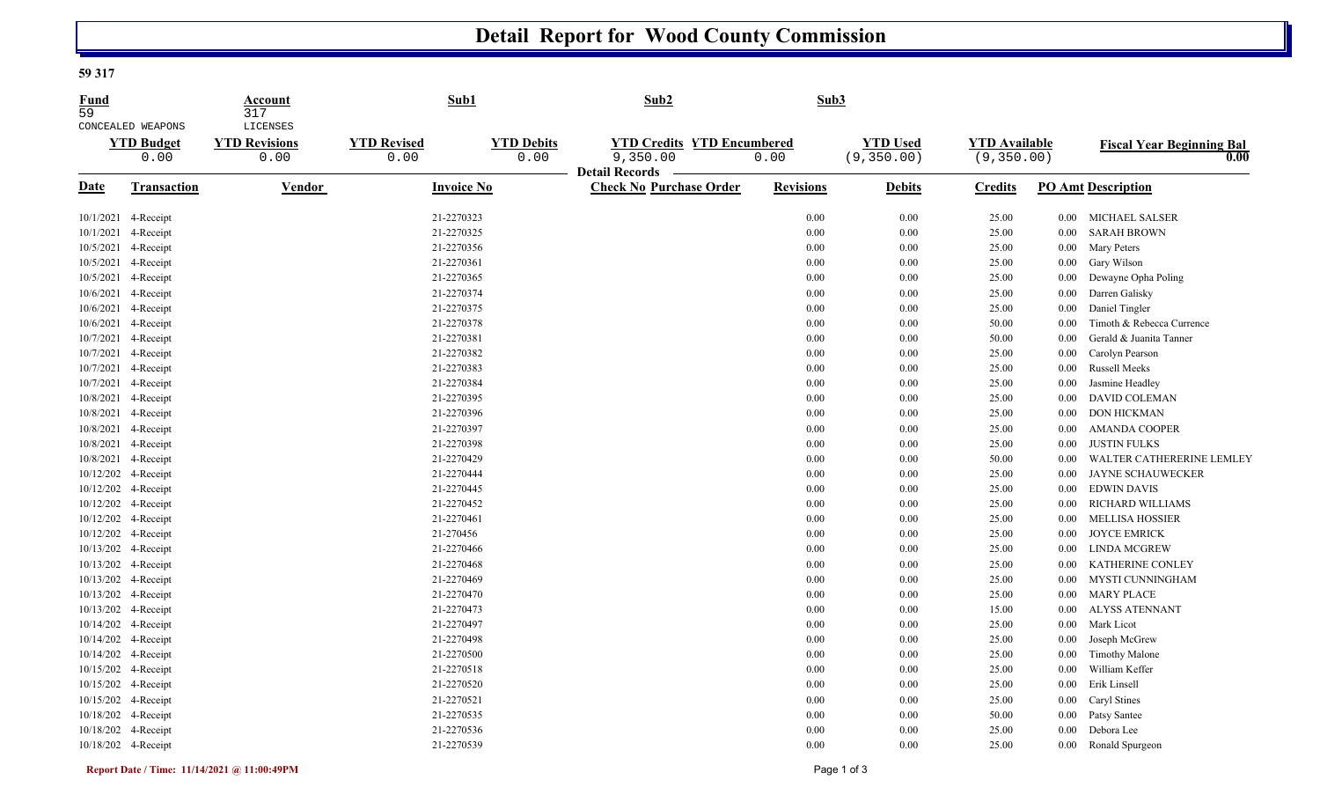## **Detail Report for Wood County Commission**

## **59 317**

| LICENSES<br>CONCEALED WEAPONS<br><b>YTD Credits YTD Encumbered</b><br><b>YTD Revisions</b><br><b>YTD Revised</b><br><b>YTD Debits</b><br><b>YTD Used</b><br><b>YTD Available</b><br><b>YTD Budget</b> |                                          |  |
|-------------------------------------------------------------------------------------------------------------------------------------------------------------------------------------------------------|------------------------------------------|--|
| 9,350.00<br>(9, 350.00)<br>0.00<br>0.00<br>0.00<br>0.00<br>(9, 350.00)<br>0.00<br><b>Detail Records</b>                                                                                               | <b>Fiscal Year Beginning Bal</b><br>0.00 |  |
| Vendor<br><b>Revisions</b><br><b>Date</b><br><b>Transaction</b><br><b>Invoice No</b><br><b>Check No Purchase Order</b><br><b>Debits</b><br><b>PO Amt Description</b><br><b>Credits</b>                |                                          |  |
| 21-2270323<br>10/1/2021 4-Receipt<br>0.00<br>0.00<br>25.00<br>MICHAEL SALSER<br>$0.00\,$                                                                                                              |                                          |  |
| 21-2270325<br>10/1/2021<br>4-Receipt<br>0.00<br>0.00<br>25.00<br><b>SARAH BROWN</b><br>0.00                                                                                                           |                                          |  |
| 21-2270356<br>10/5/2021 4-Receipt<br>0.00<br>0.00<br>25.00<br><b>Mary Peters</b><br>$0.00\,$                                                                                                          |                                          |  |
| 10/5/2021<br>4-Receipt<br>21-2270361<br>0.00<br>0.00<br>25.00<br>Gary Wilson<br>0.00                                                                                                                  |                                          |  |
| 10/5/2021 4-Receipt<br>21-2270365<br>0.00<br>0.00<br>25.00<br>Dewayne Opha Poling<br>$0.00\,$                                                                                                         |                                          |  |
| 10/6/2021 4-Receipt<br>21-2270374<br>0.00<br>$0.00\,$<br>Darren Galisky<br>25.00<br>0.00                                                                                                              |                                          |  |
| 21-2270375<br>Daniel Tingler<br>10/6/2021<br>0.00<br>0.00<br>25.00<br>4-Receipt<br>0.00                                                                                                               |                                          |  |
| 10/6/2021 4-Receipt<br>21-2270378<br>Timoth & Rebecca Currence<br>0.00<br>0.00<br>50.00<br>0.00                                                                                                       |                                          |  |
| 10/7/2021 4-Receipt<br>21-2270381<br>Gerald & Juanita Tanner<br>0.00<br>0.00<br>50.00<br>0.00                                                                                                         |                                          |  |
| 21-2270382<br>10/7/2021 4-Receipt<br>0.00<br>0.00<br>25.00<br>Carolyn Pearson<br>0.00                                                                                                                 |                                          |  |
| 21-2270383<br>Russell Meeks<br>10/7/2021 4-Receipt<br>0.00<br>0.00<br>25.00<br>0.00                                                                                                                   |                                          |  |
| 21-2270384<br>0.00<br>Jasmine Headley<br>10/7/2021 4-Receipt<br>0.00<br>25.00<br>$0.00\,$                                                                                                             |                                          |  |
| 10/8/2021 4-Receipt<br>21-2270395<br>0.00<br>0.00<br>25.00<br><b>DAVID COLEMAN</b><br>0.00                                                                                                            |                                          |  |
| 10/8/2021 4-Receipt<br>21-2270396<br><b>DON HICKMAN</b><br>0.00<br>0.00<br>25.00<br>0.00                                                                                                              |                                          |  |
| 10/8/2021 4-Receipt<br>21-2270397<br>0.00<br>0.00<br>25.00<br><b>AMANDA COOPER</b><br>0.00                                                                                                            |                                          |  |
| 10/8/2021 4-Receipt<br>21-2270398<br>0.00<br>0.00<br>25.00<br><b>JUSTIN FULKS</b><br>0.00                                                                                                             |                                          |  |
| 21-2270429<br>10/8/2021 4-Receipt<br>0.00<br>0.00<br>50.00<br>0.00                                                                                                                                    | WALTER CATHERERINE LEMLEY                |  |
| 21-2270444<br>10/12/202 4-Receipt<br>0.00<br><b>JAYNE SCHAUWECKER</b><br>0.00<br>25.00<br>0.00                                                                                                        |                                          |  |
| 10/12/202 4-Receipt<br>21-2270445<br><b>EDWIN DAVIS</b><br>0.00<br>0.00<br>25.00<br>$0.00\,$                                                                                                          |                                          |  |
| 21-2270452<br>10/12/202 4-Receipt<br>0.00<br>0.00<br>25.00<br><b>RICHARD WILLIAMS</b><br>0.00                                                                                                         |                                          |  |
| 10/12/202 4-Receipt<br>21-2270461<br><b>MELLISA HOSSIER</b><br>0.00<br>0.00<br>25.00<br>0.00                                                                                                          |                                          |  |
| 10/12/202 4-Receipt<br>21-270456<br>0.00<br>0.00<br>25.00<br><b>JOYCE EMRICK</b><br>$0.00\,$                                                                                                          |                                          |  |
| 21-2270466<br>10/13/202 4-Receipt<br>0.00<br>0.00<br>25.00<br>LINDA MCGREW<br>$0.00\,$                                                                                                                |                                          |  |
| 10/13/202 4-Receipt<br>21-2270468<br>0.00<br>0.00<br>25.00<br>KATHERINE CONLEY<br>0.00                                                                                                                |                                          |  |
| 21-2270469<br>10/13/202 4-Receipt<br>0.00<br>0.00<br>25.00<br>MYSTI CUNNINGHAM<br>0.00                                                                                                                |                                          |  |
| 10/13/202 4-Receipt<br>21-2270470<br>0.00<br><b>MARY PLACE</b><br>0.00<br>25.00<br>$0.00\,$                                                                                                           |                                          |  |
| 10/13/202 4-Receipt<br>21-2270473<br>0.00<br>0.00<br><b>ALYSS ATENNANT</b><br>15.00<br>0.00                                                                                                           |                                          |  |
| 21-2270497<br>10/14/202 4-Receipt<br>0.00<br>Mark Licot<br>0.00<br>25.00<br>0.00                                                                                                                      |                                          |  |
| 21-2270498<br>10/14/202 4-Receipt<br>0.00<br>0.00<br>25.00<br>Joseph McGrew<br>0.00                                                                                                                   |                                          |  |
| 10/14/202 4-Receipt<br>21-2270500<br>0.00<br>0.00<br><b>Timothy Malone</b><br>25.00<br>0.00                                                                                                           |                                          |  |
| 10/15/202 4-Receipt<br>21-2270518<br>William Keffer<br>0.00<br>0.00<br>25.00<br>0.00                                                                                                                  |                                          |  |
| 10/15/202 4-Receipt<br>21-2270520<br>0.00<br>0.00<br>Erik Linsell<br>25.00<br>0.00                                                                                                                    |                                          |  |
| 21-2270521<br>10/15/202 4-Receipt<br>0.00<br>Caryl Stines<br>0.00<br>25.00<br>0.00                                                                                                                    |                                          |  |
| 10/18/202 4-Receipt<br>21-2270535<br>0.00<br>0.00<br>50.00<br>Patsy Santee<br>0.00                                                                                                                    |                                          |  |
| 21-2270536<br>Debora Lee<br>10/18/202 4-Receipt<br>0.00<br>0.00<br>25.00<br>$0.00\,$                                                                                                                  |                                          |  |
| 10/18/202 4-Receipt<br>21-2270539<br>0.00<br>0.00<br>25.00<br>Ronald Spurgeon<br>0.00                                                                                                                 |                                          |  |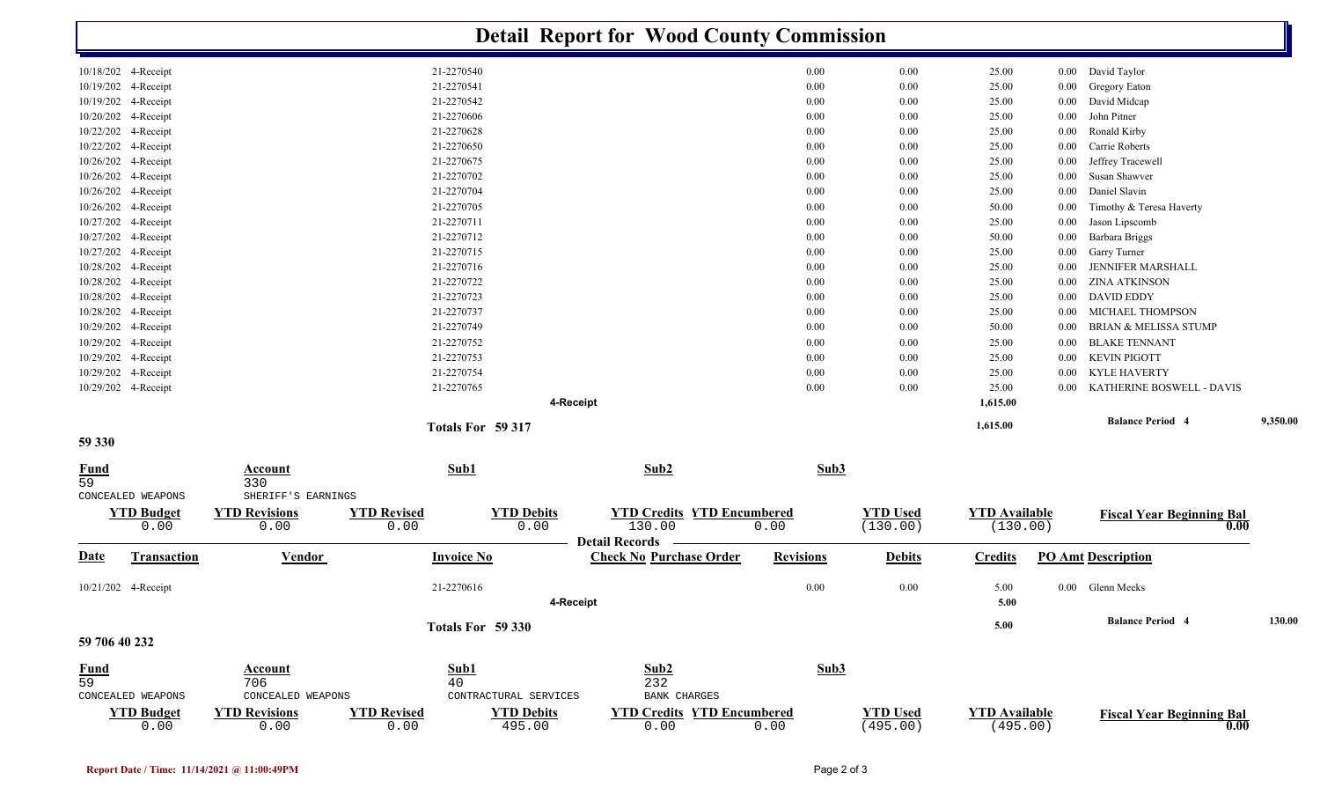|                   |                           |                                             |                            |                             | <b>Detail Report for Wood County Commission</b>         |                  |                             |                                  |          |                                  |          |
|-------------------|---------------------------|---------------------------------------------|----------------------------|-----------------------------|---------------------------------------------------------|------------------|-----------------------------|----------------------------------|----------|----------------------------------|----------|
|                   | 10/18/202 4-Receipt       |                                             | 21-2270540                 |                             |                                                         | 0.00             | 0.00                        | 25.00                            |          | 0.00 David Taylor                |          |
|                   | 10/19/202 4-Receipt       |                                             | 21-2270541                 |                             |                                                         | 0.00             | 0.00                        | 25.00                            | 0.00     | Gregory Eaton                    |          |
|                   | 10/19/202 4-Receipt       |                                             | 21-2270542                 |                             |                                                         | 0.00             | 0.00                        | 25.00                            | 0.00     | David Midcap                     |          |
|                   | 10/20/202 4-Receipt       |                                             | 21-2270606                 |                             |                                                         | 0.00             | 0.00                        | 25.00                            | $0.00\,$ | John Pitner                      |          |
|                   | 10/22/202 4-Receipt       |                                             | 21-2270628                 |                             |                                                         | 0.00             | 0.00                        | 25.00                            | 0.00     | Ronald Kirby                     |          |
|                   | 10/22/202 4-Receipt       |                                             | 21-2270650                 |                             |                                                         | 0.00             | 0.00                        | 25.00                            | 0.00     | Carrie Roberts                   |          |
|                   | 10/26/202 4-Receipt       |                                             | 21-2270675                 |                             |                                                         | 0.00             | 0.00                        | 25.00                            | 0.00     | Jeffrey Tracewell                |          |
|                   | 10/26/202 4-Receipt       |                                             | 21-2270702                 |                             |                                                         | 0.00             | 0.00                        | 25.00                            | 0.00     | Susan Shawver                    |          |
|                   | 10/26/202 4-Receipt       |                                             | 21-2270704                 |                             |                                                         | 0.00             | 0.00                        | 25.00                            | 0.00     | Daniel Slavin                    |          |
|                   | 10/26/202 4-Receipt       |                                             | 21-2270705                 |                             |                                                         | 0.00             | 0.00                        | 50.00                            | 0.00     | Timothy & Teresa Haverty         |          |
|                   | 10/27/202 4-Receipt       |                                             | 21-2270711                 |                             |                                                         | 0.00             | 0.00                        | 25.00                            | $0.00\,$ | Jason Lipscomb                   |          |
| 10/27/202         | 4-Receipt                 |                                             | 21-2270712                 |                             |                                                         | 0.00             | 0.00                        | 50.00                            | 0.00     | <b>Barbara Briggs</b>            |          |
|                   | 10/27/202 4-Receipt       |                                             | 21-2270715                 |                             |                                                         | 0.00             | 0.00                        | 25.00                            | $0.00\,$ | Garry Turner                     |          |
|                   | 10/28/202 4-Receipt       |                                             | 21-2270716                 |                             |                                                         | 0.00             | 0.00                        | 25.00                            | 0.00     | <b>JENNIFER MARSHALL</b>         |          |
|                   | 10/28/202 4-Receipt       |                                             | 21-2270722                 |                             |                                                         | 0.00             | 0.00                        | 25.00                            | $0.00\,$ | <b>ZINA ATKINSON</b>             |          |
|                   | 10/28/202 4-Receipt       |                                             | 21-2270723                 |                             |                                                         | 0.00             | 0.00                        | 25.00                            | 0.00     | <b>DAVID EDDY</b>                |          |
|                   | 10/28/202 4-Receipt       |                                             | 21-2270737                 |                             |                                                         | 0.00             | 0.00                        | 25.00                            | 0.00     | MICHAEL THOMPSON                 |          |
|                   | 10/29/202 4-Receipt       |                                             | 21-2270749                 |                             |                                                         | 0.00             | 0.00                        | 50.00                            | 0.00     | <b>BRIAN &amp; MELISSA STUMP</b> |          |
|                   | 10/29/202 4-Receipt       |                                             | 21-2270752                 |                             |                                                         | 0.00             | 0.00                        | 25.00                            | $0.00\,$ | <b>BLAKE TENNANT</b>             |          |
|                   | 10/29/202 4-Receipt       |                                             | 21-2270753                 |                             |                                                         | 0.00             | 0.00                        | 25.00                            | $0.00\,$ | <b>KEVIN PIGOTT</b>              |          |
|                   | 10/29/202 4-Receipt       |                                             | 21-2270754                 |                             |                                                         | 0.00             | 0.00                        | 25.00                            | 0.00     | KYLE HAVERTY                     |          |
|                   | 10/29/202 4-Receipt       |                                             | 21-2270765                 |                             |                                                         | 0.00             | 0.00                        | 25.00                            | 0.00     | KATHERINE BOSWELL - DAVIS        |          |
|                   |                           |                                             |                            |                             | 1,615.00                                                |                  |                             |                                  |          |                                  |          |
|                   |                           |                                             |                            | Totals For 59 317           |                                                         |                  |                             | 1,615.00                         |          | <b>Balance Period 4</b>          | 9,350.00 |
| 59 330            |                           |                                             |                            |                             |                                                         |                  |                             |                                  |          |                                  |          |
| <b>Fund</b><br>59 | CONCEALED WEAPONS         | <b>Account</b><br>330<br>SHERIFF'S EARNINGS | Sub1                       |                             | Sub2                                                    | Sub3             |                             |                                  |          |                                  |          |
|                   | <b>YTD Budget</b>         | <b>YTD Revisions</b>                        | <b>YTD Revised</b>         | <b>YTD Debits</b>           | <b>YTD Credits YTD Encumbered</b>                       |                  | <b>YTD</b> Used             | <b>YTD</b> Available             |          | <b>Fiscal Year Beginning Bal</b> |          |
|                   | 0.00                      | 0.00                                        | 0.00                       | 0.00                        | 130.00                                                  | 0.00             | (130.00)                    | (130.00)                         |          |                                  | 0.00     |
| <b>Date</b>       | <b>Transaction</b>        | <b>Vendor</b>                               | <b>Invoice No</b>          |                             | <b>Detail Records</b><br><b>Check No Purchase Order</b> | <b>Revisions</b> | <b>Debits</b>               | <b>Credits</b>                   |          | <b>PO Amt Description</b>        |          |
|                   |                           |                                             |                            |                             |                                                         |                  |                             |                                  |          |                                  |          |
|                   | 10/21/202 4-Receipt       |                                             | 21-2270616                 |                             |                                                         | 0.00             | 0.00                        | 5.00<br>5.00                     |          | 0.00 Glenn Meeks                 |          |
|                   |                           |                                             |                            |                             | 4-Receipt                                               |                  |                             |                                  |          |                                  |          |
| 59 706 40 232     |                           |                                             |                            |                             | 5.00                                                    |                  | <b>Balance Period 4</b>     | 130.00                           |          |                                  |          |
|                   |                           |                                             |                            |                             |                                                         |                  |                             |                                  |          |                                  |          |
| $\frac{Fund}{59}$ |                           | Account                                     | Sub1                       |                             | Sub2                                                    | Sub3             |                             |                                  |          |                                  |          |
|                   | CONCEALED WEAPONS         | 706<br>CONCEALED WEAPONS                    | 40                         | CONTRACTURAL SERVICES       | 232<br>BANK CHARGES                                     |                  |                             |                                  |          |                                  |          |
|                   |                           |                                             |                            |                             |                                                         |                  |                             |                                  |          |                                  |          |
|                   | <b>YTD Budget</b><br>0.00 | <b>YTD Revisions</b><br>0.00                | <b>YTD Revised</b><br>0.00 | <b>YTD Debits</b><br>495.00 | <b>YTD Credits YTD Encumbered</b><br>0.00               | 0.00             | <b>YTD Used</b><br>(495.00) | <b>YTD Available</b><br>(495.00) |          | <b>Fiscal Year Beginning Bal</b> | 0.00     |